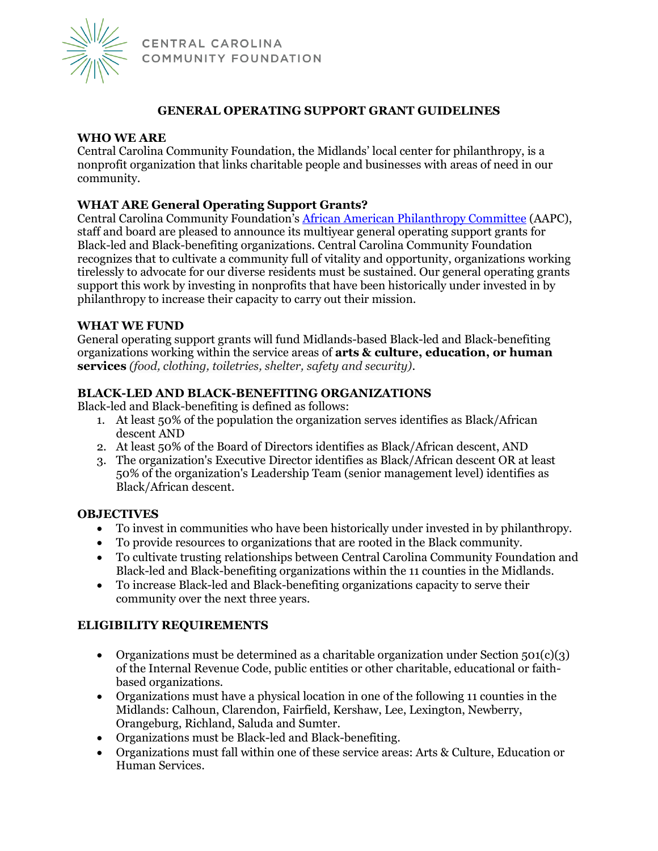

CENTRAL CAROLINA COMMUNITY FOUNDATION

# **GENERAL OPERATING SUPPORT GRANT GUIDELINES**

## **WHO WE ARE**

Central Carolina Community Foundation, the Midlands' local center for philanthropy, is a nonprofit organization that links charitable people and businesses with areas of need in our community.

# **WHAT ARE General Operating Support Grants?**

Central Carolina Community Foundation's [African American Philanthropy Committee](https://www.yourfoundation.org/aapc/) (AAPC), staff and board are pleased to announce its multiyear general operating support grants for Black-led and Black-benefiting organizations. Central Carolina Community Foundation recognizes that to cultivate a community full of vitality and opportunity, organizations working tirelessly to advocate for our diverse residents must be sustained. Our general operating grants support this work by investing in nonprofits that have been historically under invested in by philanthropy to increase their capacity to carry out their mission.

#### **WHAT WE FUND**

General operating support grants will fund Midlands-based Black-led and Black-benefiting organizations working within the service areas of **arts & culture, education, or human services** *(food, clothing, toiletries, shelter, safety and security)*.

#### **BLACK-LED AND BLACK-BENEFITING ORGANIZATIONS**

Black-led and Black-benefiting is defined as follows:

- 1. At least 50% of the population the organization serves identifies as Black/African descent AND
- 2. At least 50% of the Board of Directors identifies as Black/African descent, AND
- 3. The organization's Executive Director identifies as Black/African descent OR at least 50% of the organization's Leadership Team (senior management level) identifies as Black/African descent.

## **OBJECTIVES**

- To invest in communities who have been historically under invested in by philanthropy.
- To provide resources to organizations that are rooted in the Black community.
- To cultivate trusting relationships between Central Carolina Community Foundation and Black-led and Black-benefiting organizations within the 11 counties in the Midlands.
- To increase Black-led and Black-benefiting organizations capacity to serve their community over the next three years.

## **ELIGIBILITY REQUIREMENTS**

- Organizations must be determined as a charitable organization under Section  $501(c)(3)$ of the Internal Revenue Code, public entities or other charitable, educational or faithbased organizations.
- Organizations must have a physical location in one of the following 11 counties in the Midlands: Calhoun, Clarendon, Fairfield, Kershaw, Lee, Lexington, Newberry, Orangeburg, Richland, Saluda and Sumter.
- Organizations must be Black-led and Black-benefiting.
- Organizations must fall within one of these service areas: Arts & Culture, Education or Human Services.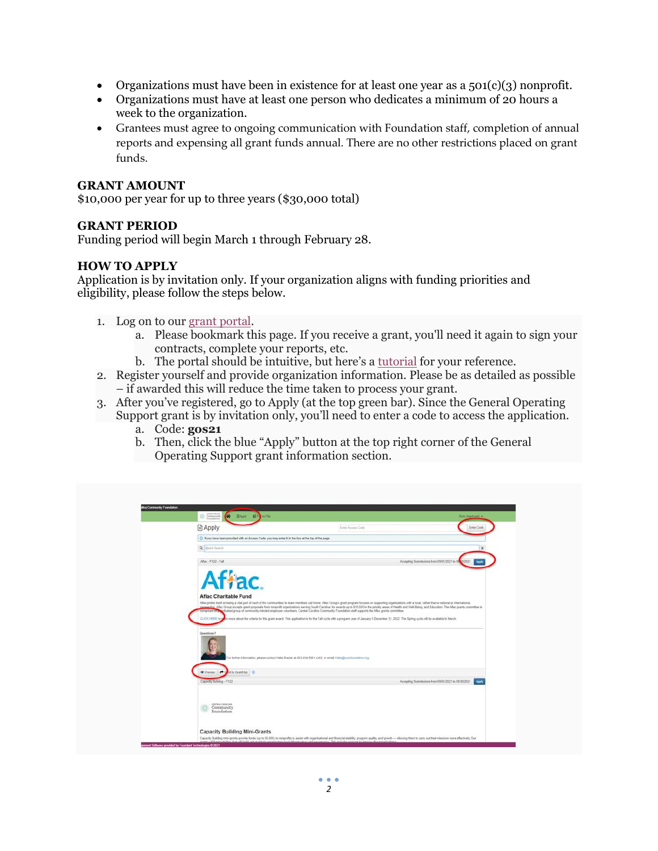- Organizations must have been in existence for at least one year as a  $501(c)(3)$  nonprofit.
- Organizations must have at least one person who dedicates a minimum of 20 hours a week to the organization.
- Grantees must agree to ongoing communication with Foundation staff, completion of annual reports and expensing all grant funds annual. There are no other restrictions placed on grant funds.

#### **GRANT AMOUNT**

\$10,000 per year for up to three years (\$30,000 total)

#### **GRANT PERIOD**

Funding period will begin March 1 through February 28.

## **HOW TO APPLY**

Application is by invitation only. If your organization aligns with funding priorities and eligibility, please follow the steps below.

- 1. Log on to our [grant portal.](https://www.grantinterface.com/Home/Logon?urlkey=cccfoundation)
	- a. Please bookmark this page. If you receive a grant, you'll need it again to sign your contracts, complete your reports, etc.
	- b. The portal should be intuitive, but here's a [tutorial](https://www.yourfoundation.org/wp-content/uploads/2021/09/Applicant-Tutorial-Grants.pdf) for your reference.
- 2. Register yourself and provide organization information. Please be as detailed as possible – if awarded this will reduce the time taken to process your grant.
- 3. After you've registered, go to Apply (at the top green bar). Since the General Operating Support grant is by invitation only, you'll need to enter a code to access the application.
	- a. Code: **gos21**
	- b. Then, click the blue "Apply" button at the top right corner of the General Operating Support grant information section.

| <b>Community Strates</b><br>Consumity<br>Forestern                                                     | Role (Applicant) =                                                                                                                                                                                                                                                                                                                                                                                                                                                                                                                                                                                                                                                                                                                                                                                                                                                                                                     |
|--------------------------------------------------------------------------------------------------------|------------------------------------------------------------------------------------------------------------------------------------------------------------------------------------------------------------------------------------------------------------------------------------------------------------------------------------------------------------------------------------------------------------------------------------------------------------------------------------------------------------------------------------------------------------------------------------------------------------------------------------------------------------------------------------------------------------------------------------------------------------------------------------------------------------------------------------------------------------------------------------------------------------------------|
| <b>B</b> Apply                                                                                         | Enter Accass Cole<br>Enter Code                                                                                                                                                                                                                                                                                                                                                                                                                                                                                                                                                                                                                                                                                                                                                                                                                                                                                        |
| (ii) If you have been provided with an Access Code, you may enter it in the box at the top of the page |                                                                                                                                                                                                                                                                                                                                                                                                                                                                                                                                                                                                                                                                                                                                                                                                                                                                                                                        |
| Q - Daick Swarth                                                                                       |                                                                                                                                                                                                                                                                                                                                                                                                                                                                                                                                                                                                                                                                                                                                                                                                                                                                                                                        |
| After-FY22-Fall                                                                                        | Accepting Submissions from 09/01/2021 to 09/01/2021<br>Apply                                                                                                                                                                                                                                                                                                                                                                                                                                                                                                                                                                                                                                                                                                                                                                                                                                                           |
| Affac.<br><b>Aflac Charitable Fund</b><br><b>CLICK HERE to a</b><br>Questions?                         | After prides itself on being a vital part of each of the communities its team members call home. After Group's grant program focuses on supporting organizations with a local, rather than a national or international,<br>while After Group accepts grant proposals from nonprofit organizations serving South Carolina. for awards up to \$10,000 in the priority areas of Health and Well-Being, and Education. The After grants committee is<br>rompriser or a social group of community minded employee volunteers. Central Carolina Community Foundation staff supports the Aflac grants committee.<br>on more about the criteria for this grant award. This application is for the Fail cycle with a program year of January 1-December 31, 2022. The Spring cycle will be available in March.<br>or further information, please contact Halle Brazier at 803-254-5601 x343, or email Halls@ytrunbundation.org. |
| <b>C</b> Preview<br>$\rightarrow$<br>of to Granithan (1)                                               |                                                                                                                                                                                                                                                                                                                                                                                                                                                                                                                                                                                                                                                                                                                                                                                                                                                                                                                        |
| Capacity Building - FY22<br>CENTRAL CASCILINA<br>Community<br>Foundation                               | Apply<br>Accepting Submissions from 09/01/2021 to 09/30/2021                                                                                                                                                                                                                                                                                                                                                                                                                                                                                                                                                                                                                                                                                                                                                                                                                                                           |
|                                                                                                        |                                                                                                                                                                                                                                                                                                                                                                                                                                                                                                                                                                                                                                                                                                                                                                                                                                                                                                                        |